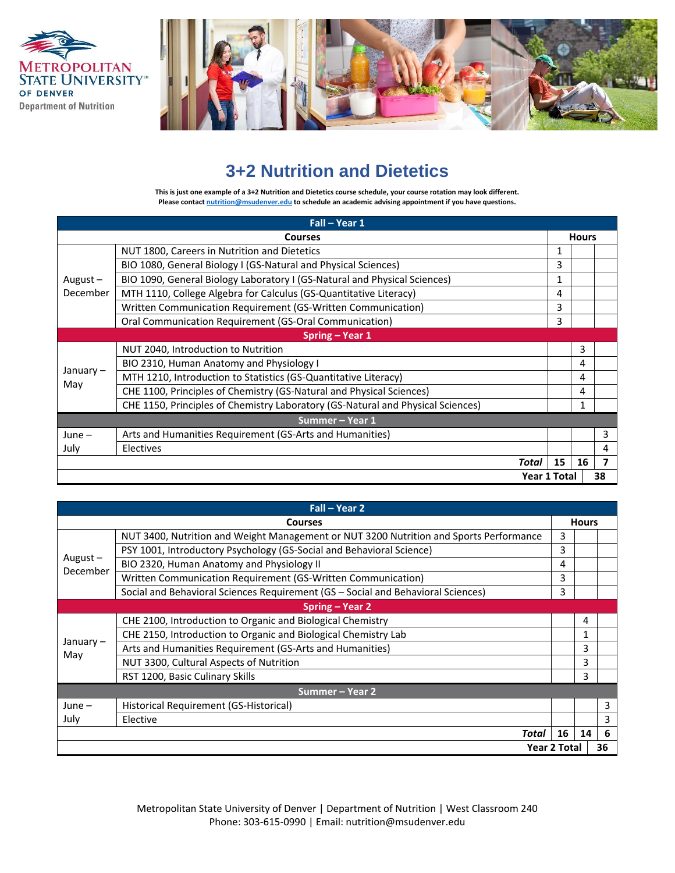



## **3+2 Nutrition and Dietetics**

**This is just one example of a 3+2 Nutrition and Dietetics course schedule, your course rotation may look different. Please contac[t nutrition@msudenver.edu](mailto:nutrition@msudenver.edu) to schedule an academic advising appointment if you have questions.**

| Fall - Year 1          |                                                                                 |              |              |                         |  |
|------------------------|---------------------------------------------------------------------------------|--------------|--------------|-------------------------|--|
|                        | <b>Courses</b>                                                                  |              | <b>Hours</b> |                         |  |
| August $-$<br>December | NUT 1800, Careers in Nutrition and Dietetics                                    | 1            |              |                         |  |
|                        | BIO 1080, General Biology I (GS-Natural and Physical Sciences)                  | 3            |              |                         |  |
|                        | BIO 1090, General Biology Laboratory I (GS-Natural and Physical Sciences)       | 1            |              |                         |  |
|                        | MTH 1110, College Algebra for Calculus (GS-Quantitative Literacy)               | 4            |              |                         |  |
|                        | Written Communication Requirement (GS-Written Communication)                    | 3            |              |                         |  |
|                        | Oral Communication Requirement (GS-Oral Communication)                          | 3            |              |                         |  |
| Spring – Year 1        |                                                                                 |              |              |                         |  |
|                        | NUT 2040, Introduction to Nutrition                                             |              | 3            |                         |  |
|                        | BIO 2310, Human Anatomy and Physiology I                                        |              | 4            |                         |  |
| January –              | MTH 1210, Introduction to Statistics (GS-Quantitative Literacy)                 |              | 4            |                         |  |
| May                    | CHE 1100, Principles of Chemistry (GS-Natural and Physical Sciences)            |              | 4            |                         |  |
|                        | CHE 1150, Principles of Chemistry Laboratory (GS-Natural and Physical Sciences) |              | 1            |                         |  |
| Summer - Year 1        |                                                                                 |              |              |                         |  |
| $June -$               | Arts and Humanities Requirement (GS-Arts and Humanities)                        |              |              | 3                       |  |
| July                   | Electives                                                                       |              |              | 4                       |  |
|                        | Total                                                                           | 15           | 16           | $\overline{\mathbf{z}}$ |  |
|                        |                                                                                 | Year 1 Total |              | 38                      |  |

| Fall - Year 2          |                                                                                        |    |              |   |  |
|------------------------|----------------------------------------------------------------------------------------|----|--------------|---|--|
|                        | <b>Courses</b>                                                                         |    | <b>Hours</b> |   |  |
| August $-$<br>December | NUT 3400, Nutrition and Weight Management or NUT 3200 Nutrition and Sports Performance | 3  |              |   |  |
|                        | PSY 1001, Introductory Psychology (GS-Social and Behavioral Science)                   | 3  |              |   |  |
|                        | BIO 2320, Human Anatomy and Physiology II                                              | 4  |              |   |  |
|                        | Written Communication Requirement (GS-Written Communication)                           | 3  |              |   |  |
|                        | Social and Behavioral Sciences Requirement (GS - Social and Behavioral Sciences)       | 3  |              |   |  |
|                        | Spring – Year 2                                                                        |    |              |   |  |
|                        | CHE 2100, Introduction to Organic and Biological Chemistry                             |    | 4            |   |  |
|                        | CHE 2150, Introduction to Organic and Biological Chemistry Lab                         |    | 1            |   |  |
| January –              | Arts and Humanities Requirement (GS-Arts and Humanities)                               |    | 3            |   |  |
| May                    | NUT 3300, Cultural Aspects of Nutrition                                                |    | 3            |   |  |
|                        | RST 1200, Basic Culinary Skills                                                        |    | 3            |   |  |
|                        | Summer – Year 2                                                                        |    |              |   |  |
| $June -$               | Historical Requirement (GS-Historical)                                                 |    |              | 3 |  |
| July                   | Elective                                                                               |    |              | 3 |  |
|                        | Total                                                                                  | 16 | 14           | 6 |  |
|                        | <b>Year 2 Total</b>                                                                    |    | 36           |   |  |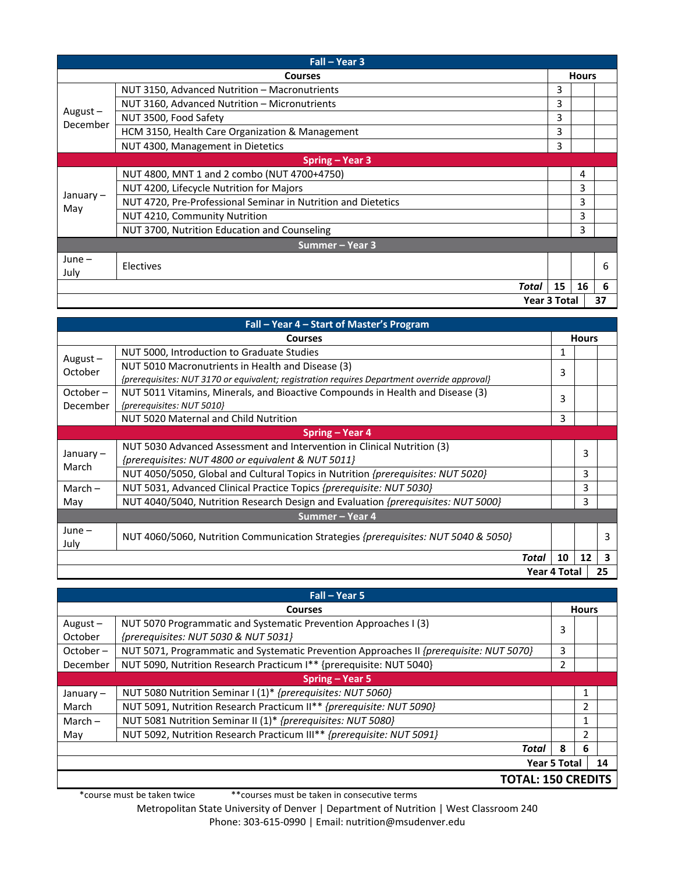| Fall - Year 3       |                                                               |    |              |    |
|---------------------|---------------------------------------------------------------|----|--------------|----|
|                     | <b>Courses</b>                                                |    | <b>Hours</b> |    |
| August-<br>December | NUT 3150, Advanced Nutrition - Macronutrients                 | 3  |              |    |
|                     | NUT 3160, Advanced Nutrition - Micronutrients                 | 3  |              |    |
|                     | NUT 3500, Food Safety                                         | 3  |              |    |
|                     | HCM 3150, Health Care Organization & Management               | 3  |              |    |
|                     | NUT 4300, Management in Dietetics                             | 3  |              |    |
|                     | Spring - Year 3                                               |    |              |    |
|                     | NUT 4800, MNT 1 and 2 combo (NUT 4700+4750)                   |    | 4            |    |
|                     | NUT 4200, Lifecycle Nutrition for Majors                      |    | 3            |    |
| January –           | NUT 4720, Pre-Professional Seminar in Nutrition and Dietetics |    | 3            |    |
| May                 | <b>NUT 4210, Community Nutrition</b>                          |    | 3            |    |
|                     | NUT 3700, Nutrition Education and Counseling                  |    | 3            |    |
| Summer – Year 3     |                                                               |    |              |    |
| $June -$            |                                                               |    |              | 6  |
| July                | Electives                                                     |    |              |    |
|                     | Total                                                         | 15 | 16           | 6  |
| <b>Year 3 Total</b> |                                                               |    |              | 37 |

| Fall – Year 4 – Start of Master's Program |                                                                                             |       |    |              |                         |
|-------------------------------------------|---------------------------------------------------------------------------------------------|-------|----|--------------|-------------------------|
|                                           | <b>Courses</b>                                                                              |       |    | <b>Hours</b> |                         |
| August $-$<br>October                     | NUT 5000, Introduction to Graduate Studies                                                  |       | 1  |              |                         |
|                                           | NUT 5010 Macronutrients in Health and Disease (3)                                           |       | 3  |              |                         |
|                                           | {prerequisites: NUT 3170 or equivalent; registration requires Department override approval} |       |    |              |                         |
| October –                                 | NUT 5011 Vitamins, Minerals, and Bioactive Compounds in Health and Disease (3)              |       | 3  |              |                         |
| December                                  | {prerequisites: NUT 5010}                                                                   |       |    |              |                         |
|                                           | NUT 5020 Maternal and Child Nutrition                                                       |       | 3  |              |                         |
|                                           | Spring – Year 4                                                                             |       |    |              |                         |
| January –<br>March                        | NUT 5030 Advanced Assessment and Intervention in Clinical Nutrition (3)                     |       |    | 3            |                         |
|                                           | {prerequisites: NUT 4800 or equivalent & NUT 5011}                                          |       |    |              |                         |
|                                           | NUT 4050/5050, Global and Cultural Topics in Nutrition <i>{prerequisites: NUT 5020}</i>     |       |    | 3            |                         |
| March $-$                                 | NUT 5031, Advanced Clinical Practice Topics {prerequisite: NUT 5030}                        |       |    | 3            |                         |
| May                                       | NUT 4040/5040, Nutrition Research Design and Evaluation {prerequisites: NUT 5000}           |       |    | 3            |                         |
| Summer - Year 4                           |                                                                                             |       |    |              |                         |
| $June -$                                  |                                                                                             |       |    |              |                         |
| July                                      | NUT 4060/5060, Nutrition Communication Strategies {prerequisites: NUT 5040 & 5050}          |       |    |              | 3                       |
|                                           |                                                                                             | Total | 10 | 12           | $\overline{\mathbf{3}}$ |
| <b>Year 4 Total</b>                       |                                                                                             | 25    |    |              |                         |

| Fall - Year 5             |                                                                                         |              |    |  |
|---------------------------|-----------------------------------------------------------------------------------------|--------------|----|--|
| <b>Courses</b>            |                                                                                         | <b>Hours</b> |    |  |
| August $-$                | NUT 5070 Programmatic and Systematic Prevention Approaches I (3)                        |              |    |  |
| October                   | {prerequisites: NUT 5030 & NUT 5031}                                                    | 3            |    |  |
| October –                 | NUT 5071, Programmatic and Systematic Prevention Approaches II {prerequisite: NUT 5070} | 3            |    |  |
| December                  | NUT 5090, Nutrition Research Practicum I** {prerequisite: NUT 5040}                     | 2            |    |  |
| Spring – Year 5           |                                                                                         |              |    |  |
| January $-$               | NUT 5080 Nutrition Seminar I (1)* {prerequisites: NUT 5060}                             |              | 1  |  |
| March                     | NUT 5091, Nutrition Research Practicum II** {prerequisite: NUT 5090}                    |              | 2  |  |
| March $-$                 | NUT 5081 Nutrition Seminar II (1)* {prerequisites: NUT 5080}                            |              | 1  |  |
| May                       | NUT 5092, Nutrition Research Practicum III** {prerequisite: NUT 5091}                   |              | 2  |  |
|                           | Total                                                                                   | 8            | 6  |  |
| <b>Year 5 Total</b>       |                                                                                         |              | 14 |  |
| <b>TOTAL: 150 CREDITS</b> |                                                                                         |              |    |  |

\*course must be taken twice \*\*courses must be taken in consecutive terms

Metropolitan State University of Denver | Department of Nutrition | West Classroom 240 Phone: 303-615-0990 | Email: nutrition@msudenver.edu